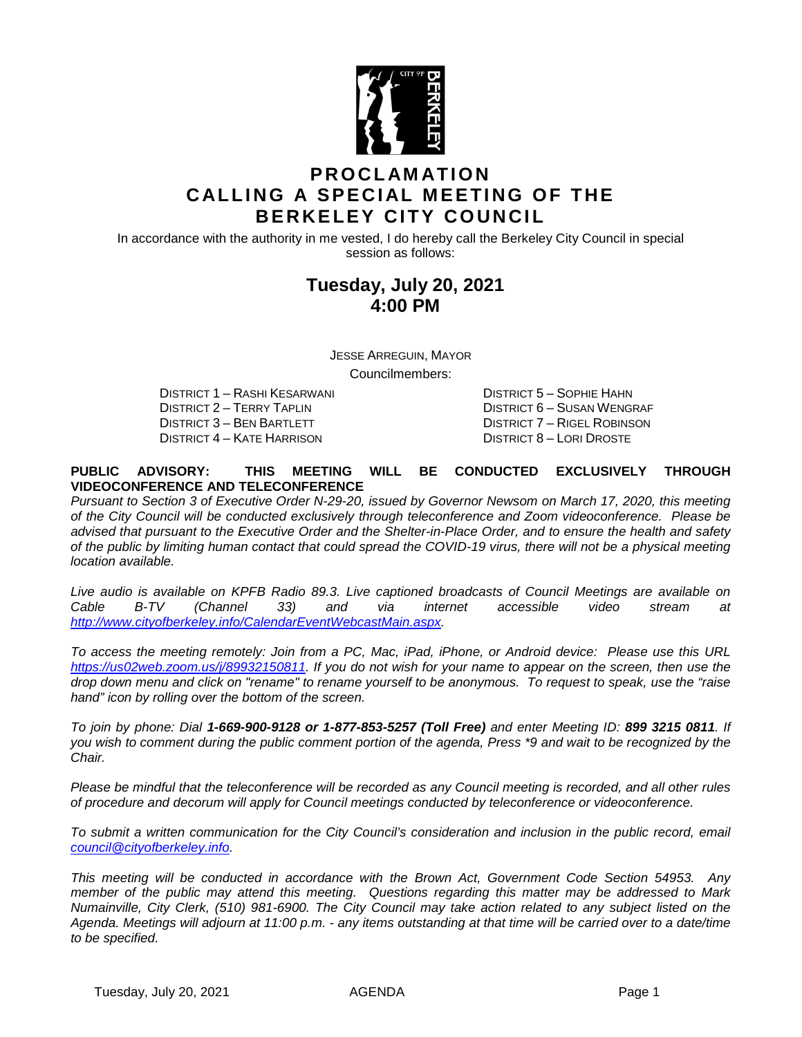

## **PROCLAMATION CALLING A SPECIAL MEETING OF THE BERKELEY CITY COUNCIL**

In accordance with the authority in me vested, I do hereby call the Berkeley City Council in special session as follows:

## **Tuesday, July 20, 2021 4:00 PM**

JESSE ARREGUIN, MAYOR

Councilmembers:

DISTRICT 1 – RASHI KESARWANI DISTRICT 5 – SOPHIE HAHN DISTRICT 2 – TERRY TAPLIN DISTRICT 6 – SUSAN WENGRAF DISTRICT 3 – BEN BARTLETT DISTRICT 7 – RIGEL ROBINSON DISTRICT 4 – KATE HARRISON DISTRICT 8 – LORI DROSTE

#### **PUBLIC ADVISORY: THIS MEETING WILL BE CONDUCTED EXCLUSIVELY THROUGH VIDEOCONFERENCE AND TELECONFERENCE**

*Pursuant to Section 3 of Executive Order N-29-20, issued by Governor Newsom on March 17, 2020, this meeting of the City Council will be conducted exclusively through teleconference and Zoom videoconference. Please be advised that pursuant to the Executive Order and the Shelter-in-Place Order, and to ensure the health and safety of the public by limiting human contact that could spread the COVID-19 virus, there will not be a physical meeting location available.* 

*Live audio is available on KPFB Radio 89.3. Live captioned broadcasts of Council Meetings are available on Cable B-TV (Channel 33) and via internet accessible video stream at [http://www.cityofberkeley.info/CalendarEventWebcastMain.aspx.](http://www.cityofberkeley.info/CalendarEventWebcastMain.aspx)*

*To access the meeting remotely: Join from a PC, Mac, iPad, iPhone, or Android device: Please use this URL [https://us02web.zoom.us/j/89932150811.](https://us02web.zoom.us/j/89932150811) If you do not wish for your name to appear on the screen, then use the drop down menu and click on "rename" to rename yourself to be anonymous. To request to speak, use the "raise hand" icon by rolling over the bottom of the screen.* 

*To join by phone: Dial 1-669-900-9128 or 1-877-853-5257 (Toll Free) and enter Meeting ID: 899 3215 0811. If you wish to comment during the public comment portion of the agenda, Press \*9 and wait to be recognized by the Chair.* 

*Please be mindful that the teleconference will be recorded as any Council meeting is recorded, and all other rules of procedure and decorum will apply for Council meetings conducted by teleconference or videoconference.*

*To submit a written communication for the City Council's consideration and inclusion in the public record, email [council@cityofberkeley.info.](mailto:council@cityofberkeley.info)*

*This meeting will be conducted in accordance with the Brown Act, Government Code Section 54953. Any member of the public may attend this meeting. Questions regarding this matter may be addressed to Mark Numainville, City Clerk, (510) 981-6900. The City Council may take action related to any subject listed on the Agenda. Meetings will adjourn at 11:00 p.m. - any items outstanding at that time will be carried over to a date/time to be specified.*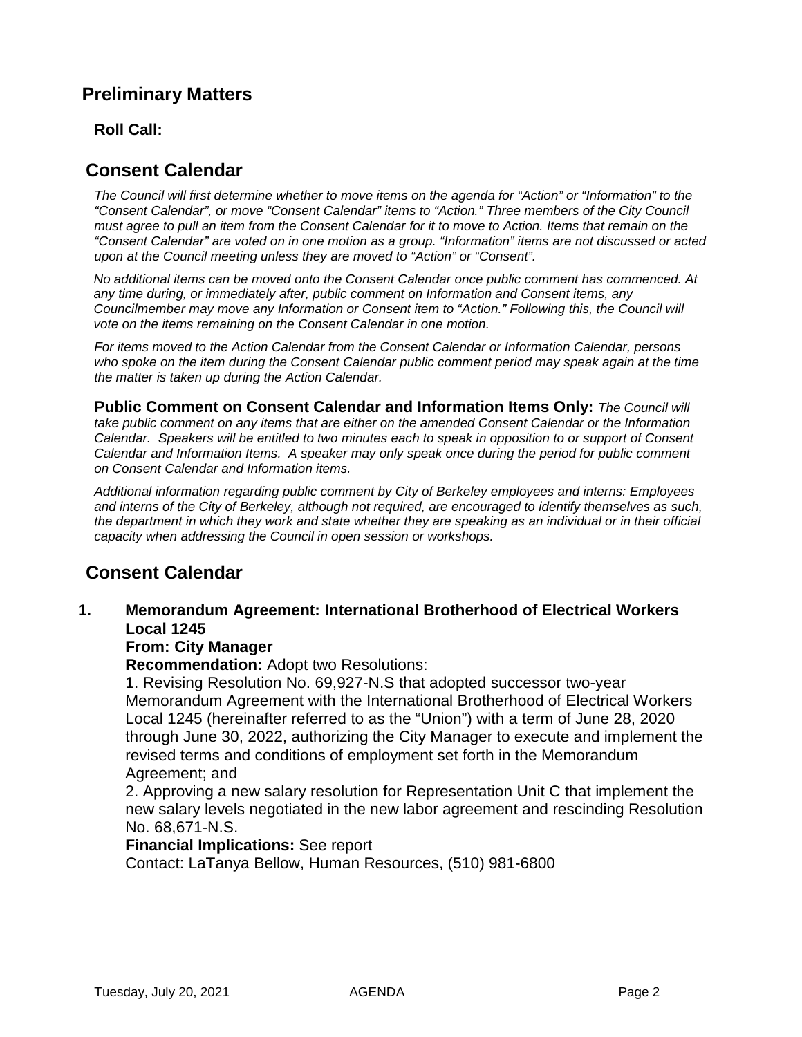## **Preliminary Matters**

### **Roll Call:**

### **Consent Calendar**

*The Council will first determine whether to move items on the agenda for "Action" or "Information" to the "Consent Calendar", or move "Consent Calendar" items to "Action." Three members of the City Council must agree to pull an item from the Consent Calendar for it to move to Action. Items that remain on the "Consent Calendar" are voted on in one motion as a group. "Information" items are not discussed or acted upon at the Council meeting unless they are moved to "Action" or "Consent".*

*No additional items can be moved onto the Consent Calendar once public comment has commenced. At any time during, or immediately after, public comment on Information and Consent items, any Councilmember may move any Information or Consent item to "Action." Following this, the Council will vote on the items remaining on the Consent Calendar in one motion.* 

*For items moved to the Action Calendar from the Consent Calendar or Information Calendar, persons who spoke on the item during the Consent Calendar public comment period may speak again at the time the matter is taken up during the Action Calendar.*

**Public Comment on Consent Calendar and Information Items Only:** *The Council will take public comment on any items that are either on the amended Consent Calendar or the Information Calendar. Speakers will be entitled to two minutes each to speak in opposition to or support of Consent Calendar and Information Items. A speaker may only speak once during the period for public comment on Consent Calendar and Information items.*

*Additional information regarding public comment by City of Berkeley employees and interns: Employees and interns of the City of Berkeley, although not required, are encouraged to identify themselves as such, the department in which they work and state whether they are speaking as an individual or in their official capacity when addressing the Council in open session or workshops.*

## **Consent Calendar**

### **1. Memorandum Agreement: International Brotherhood of Electrical Workers Local 1245**

### **From: City Manager**

**Recommendation:** Adopt two Resolutions:

1. Revising Resolution No. 69,927-N.S that adopted successor two-year Memorandum Agreement with the International Brotherhood of Electrical Workers Local 1245 (hereinafter referred to as the "Union") with a term of June 28, 2020 through June 30, 2022, authorizing the City Manager to execute and implement the revised terms and conditions of employment set forth in the Memorandum Agreement; and

2. Approving a new salary resolution for Representation Unit C that implement the new salary levels negotiated in the new labor agreement and rescinding Resolution No. 68,671-N.S.

### **Financial Implications:** See report

Contact: LaTanya Bellow, Human Resources, (510) 981-6800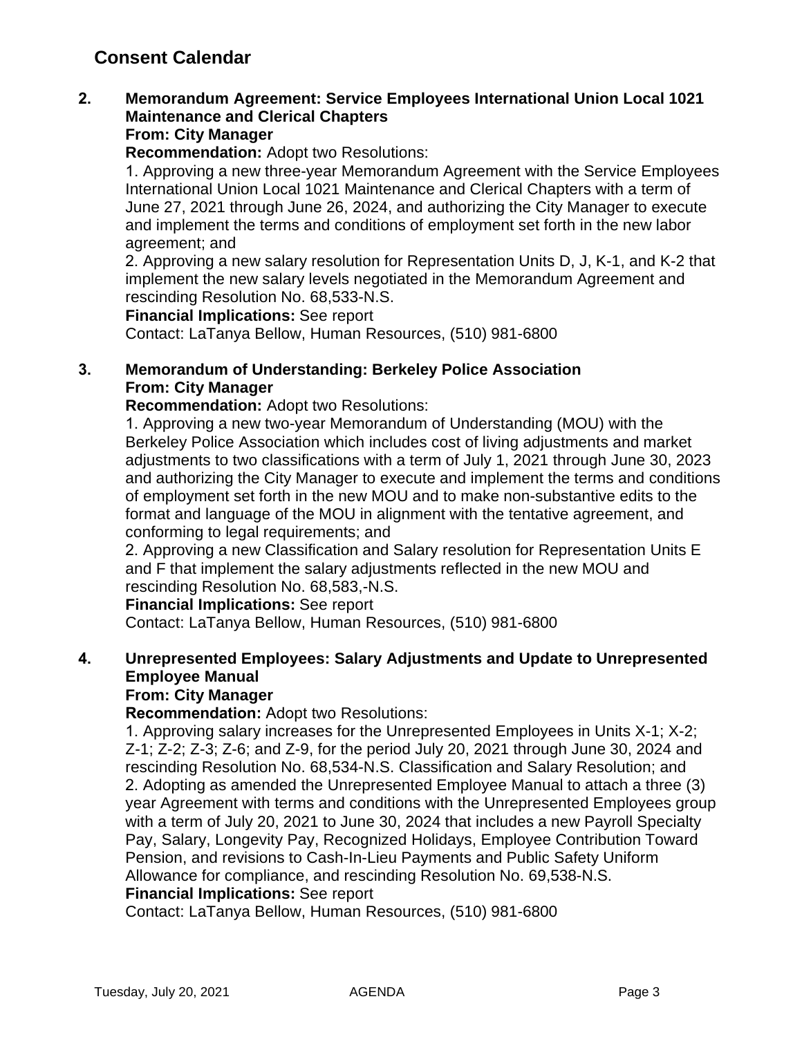# **Consent Calendar**

### **2. Memorandum Agreement: Service Employees International Union Local 1021 Maintenance and Clerical Chapters From: City Manager**

**Recommendation:** Adopt two Resolutions:

1. Approving a new three-year Memorandum Agreement with the Service Employees International Union Local 1021 Maintenance and Clerical Chapters with a term of June 27, 2021 through June 26, 2024, and authorizing the City Manager to execute and implement the terms and conditions of employment set forth in the new labor agreement; and

2. Approving a new salary resolution for Representation Units D, J, K-1, and K-2 that implement the new salary levels negotiated in the Memorandum Agreement and rescinding Resolution No. 68,533-N.S.

**Financial Implications:** See report

Contact: LaTanya Bellow, Human Resources, (510) 981-6800

### **3. Memorandum of Understanding: Berkeley Police Association From: City Manager**

**Recommendation:** Adopt two Resolutions:

1. Approving a new two-year Memorandum of Understanding (MOU) with the Berkeley Police Association which includes cost of living adjustments and market adjustments to two classifications with a term of July 1, 2021 through June 30, 2023 and authorizing the City Manager to execute and implement the terms and conditions of employment set forth in the new MOU and to make non-substantive edits to the format and language of the MOU in alignment with the tentative agreement, and conforming to legal requirements; and

2. Approving a new Classification and Salary resolution for Representation Units E and F that implement the salary adjustments reflected in the new MOU and rescinding Resolution No. 68,583,-N.S.

### **Financial Implications:** See report

Contact: LaTanya Bellow, Human Resources, (510) 981-6800

## **4. Unrepresented Employees: Salary Adjustments and Update to Unrepresented Employee Manual**

### **From: City Manager**

**Recommendation:** Adopt two Resolutions:

1. Approving salary increases for the Unrepresented Employees in Units X-1; X-2; Z-1; Z-2; Z-3; Z-6; and Z-9, for the period July 20, 2021 through June 30, 2024 and rescinding Resolution No. 68,534-N.S. Classification and Salary Resolution; and 2. Adopting as amended the Unrepresented Employee Manual to attach a three (3) year Agreement with terms and conditions with the Unrepresented Employees group with a term of July 20, 2021 to June 30, 2024 that includes a new Payroll Specialty Pay, Salary, Longevity Pay, Recognized Holidays, Employee Contribution Toward Pension, and revisions to Cash-In-Lieu Payments and Public Safety Uniform Allowance for compliance, and rescinding Resolution No. 69,538-N.S.

#### **Financial Implications:** See report

Contact: LaTanya Bellow, Human Resources, (510) 981-6800